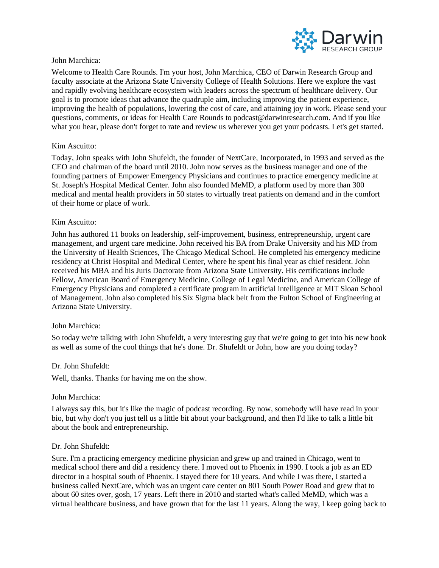

## John Marchica:

Welcome to Health Care Rounds. I'm your host, John Marchica, CEO of Darwin Research Group and faculty associate at the Arizona State University College of Health Solutions. Here we explore the vast and rapidly evolving healthcare ecosystem with leaders across the spectrum of healthcare delivery. Our goal is to promote ideas that advance the quadruple aim, including improving the patient experience, improving the health of populations, lowering the cost of care, and attaining joy in work. Please send your questions, comments, or ideas for Health Care Rounds to podcast@darwinresearch.com. And if you like what you hear, please don't forget to rate and review us wherever you get your podcasts. Let's get started.

### Kim Ascuitto:

Today, John speaks with John Shufeldt, the founder of NextCare, Incorporated, in 1993 and served as the CEO and chairman of the board until 2010. John now serves as the business manager and one of the founding partners of Empower Emergency Physicians and continues to practice emergency medicine at St. Joseph's Hospital Medical Center. John also founded MeMD, a platform used by more than 300 medical and mental health providers in 50 states to virtually treat patients on demand and in the comfort of their home or place of work.

### Kim Ascuitto:

John has authored 11 books on leadership, self-improvement, business, entrepreneurship, urgent care management, and urgent care medicine. John received his BA from Drake University and his MD from the University of Health Sciences, The Chicago Medical School. He completed his emergency medicine residency at Christ Hospital and Medical Center, where he spent his final year as chief resident. John received his MBA and his Juris Doctorate from Arizona State University. His certifications include Fellow, American Board of Emergency Medicine, College of Legal Medicine, and American College of Emergency Physicians and completed a certificate program in artificial intelligence at MIT Sloan School of Management. John also completed his Six Sigma black belt from the Fulton School of Engineering at Arizona State University.

#### John Marchica:

So today we're talking with John Shufeldt, a very interesting guy that we're going to get into his new book as well as some of the cool things that he's done. Dr. Shufeldt or John, how are you doing today?

### Dr. John Shufeldt:

Well, thanks. Thanks for having me on the show.

#### John Marchica:

I always say this, but it's like the magic of podcast recording. By now, somebody will have read in your bio, but why don't you just tell us a little bit about your background, and then I'd like to talk a little bit about the book and entrepreneurship.

#### Dr. John Shufeldt:

Sure. I'm a practicing emergency medicine physician and grew up and trained in Chicago, went to medical school there and did a residency there. I moved out to Phoenix in 1990. I took a job as an ED director in a hospital south of Phoenix. I stayed there for 10 years. And while I was there, I started a business called NextCare, which was an urgent care center on 801 South Power Road and grew that to about 60 sites over, gosh, 17 years. Left there in 2010 and started what's called MeMD, which was a virtual healthcare business, and have grown that for the last 11 years. Along the way, I keep going back to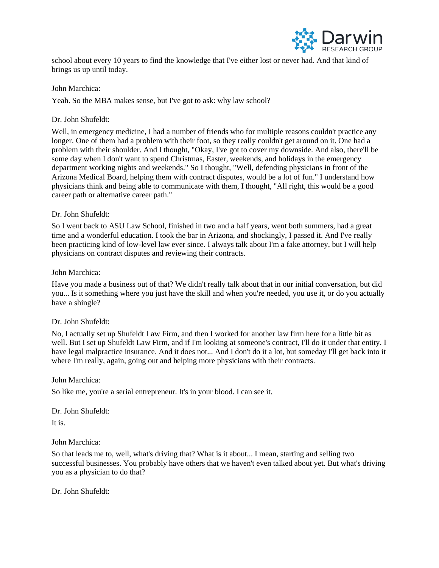

school about every 10 years to find the knowledge that I've either lost or never had. And that kind of brings us up until today.

John Marchica:

Yeah. So the MBA makes sense, but I've got to ask: why law school?

## Dr. John Shufeldt:

Well, in emergency medicine, I had a number of friends who for multiple reasons couldn't practice any longer. One of them had a problem with their foot, so they really couldn't get around on it. One had a problem with their shoulder. And I thought, "Okay, I've got to cover my downside. And also, there'll be some day when I don't want to spend Christmas, Easter, weekends, and holidays in the emergency department working nights and weekends." So I thought, "Well, defending physicians in front of the Arizona Medical Board, helping them with contract disputes, would be a lot of fun." I understand how physicians think and being able to communicate with them, I thought, "All right, this would be a good career path or alternative career path."

## Dr. John Shufeldt:

So I went back to ASU Law School, finished in two and a half years, went both summers, had a great time and a wonderful education. I took the bar in Arizona, and shockingly, I passed it. And I've really been practicing kind of low-level law ever since. I always talk about I'm a fake attorney, but I will help physicians on contract disputes and reviewing their contracts.

## John Marchica:

Have you made a business out of that? We didn't really talk about that in our initial conversation, but did you... Is it something where you just have the skill and when you're needed, you use it, or do you actually have a shingle?

## Dr. John Shufeldt:

No, I actually set up Shufeldt Law Firm, and then I worked for another law firm here for a little bit as well. But I set up Shufeldt Law Firm, and if I'm looking at someone's contract, I'll do it under that entity. I have legal malpractice insurance. And it does not... And I don't do it a lot, but someday I'll get back into it where I'm really, again, going out and helping more physicians with their contracts.

John Marchica:

So like me, you're a serial entrepreneur. It's in your blood. I can see it.

Dr. John Shufeldt:

It is.

John Marchica:

So that leads me to, well, what's driving that? What is it about... I mean, starting and selling two successful businesses. You probably have others that we haven't even talked about yet. But what's driving you as a physician to do that?

Dr. John Shufeldt: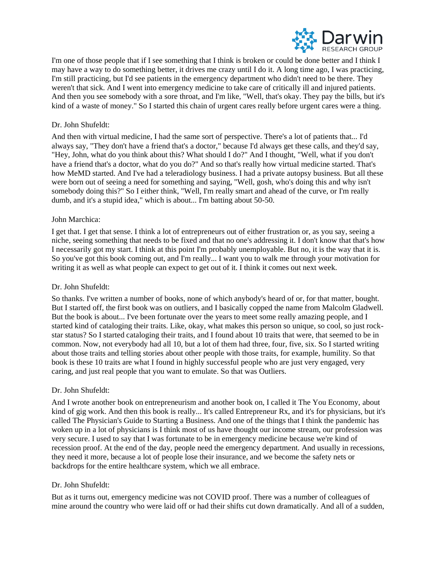

I'm one of those people that if I see something that I think is broken or could be done better and I think I may have a way to do something better, it drives me crazy until I do it. A long time ago, I was practicing, I'm still practicing, but I'd see patients in the emergency department who didn't need to be there. They weren't that sick. And I went into emergency medicine to take care of critically ill and injured patients. And then you see somebody with a sore throat, and I'm like, "Well, that's okay. They pay the bills, but it's kind of a waste of money." So I started this chain of urgent cares really before urgent cares were a thing.

### Dr. John Shufeldt:

And then with virtual medicine, I had the same sort of perspective. There's a lot of patients that... I'd always say, "They don't have a friend that's a doctor," because I'd always get these calls, and they'd say, "Hey, John, what do you think about this? What should I do?" And I thought, "Well, what if you don't have a friend that's a doctor, what do you do?" And so that's really how virtual medicine started. That's how MeMD started. And I've had a teleradiology business. I had a private autopsy business. But all these were born out of seeing a need for something and saying, "Well, gosh, who's doing this and why isn't somebody doing this?" So I either think, "Well, I'm really smart and ahead of the curve, or I'm really dumb, and it's a stupid idea," which is about... I'm batting about 50-50.

#### John Marchica:

I get that. I get that sense. I think a lot of entrepreneurs out of either frustration or, as you say, seeing a niche, seeing something that needs to be fixed and that no one's addressing it. I don't know that that's how I necessarily got my start. I think at this point I'm probably unemployable. But no, it is the way that it is. So you've got this book coming out, and I'm really... I want you to walk me through your motivation for writing it as well as what people can expect to get out of it. I think it comes out next week.

#### Dr. John Shufeldt:

So thanks. I've written a number of books, none of which anybody's heard of or, for that matter, bought. But I started off, the first book was on outliers, and I basically copped the name from Malcolm Gladwell. But the book is about... I've been fortunate over the years to meet some really amazing people, and I started kind of cataloging their traits. Like, okay, what makes this person so unique, so cool, so just rockstar status? So I started cataloging their traits, and I found about 10 traits that were, that seemed to be in common. Now, not everybody had all 10, but a lot of them had three, four, five, six. So I started writing about those traits and telling stories about other people with those traits, for example, humility. So that book is these 10 traits are what I found in highly successful people who are just very engaged, very caring, and just real people that you want to emulate. So that was Outliers.

## Dr. John Shufeldt:

And I wrote another book on entrepreneurism and another book on, I called it The You Economy, about kind of gig work. And then this book is really... It's called Entrepreneur Rx, and it's for physicians, but it's called The Physician's Guide to Starting a Business. And one of the things that I think the pandemic has woken up in a lot of physicians is I think most of us have thought our income stream, our profession was very secure. I used to say that I was fortunate to be in emergency medicine because we're kind of recession proof. At the end of the day, people need the emergency department. And usually in recessions, they need it more, because a lot of people lose their insurance, and we become the safety nets or backdrops for the entire healthcare system, which we all embrace.

#### Dr. John Shufeldt:

But as it turns out, emergency medicine was not COVID proof. There was a number of colleagues of mine around the country who were laid off or had their shifts cut down dramatically. And all of a sudden,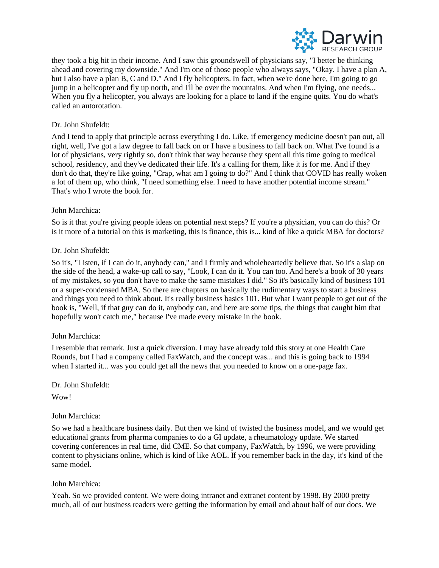

they took a big hit in their income. And I saw this groundswell of physicians say, "I better be thinking ahead and covering my downside." And I'm one of those people who always says, "Okay. I have a plan A, but I also have a plan B, C and D." And I fly helicopters. In fact, when we're done here, I'm going to go jump in a helicopter and fly up north, and I'll be over the mountains. And when I'm flying, one needs... When you fly a helicopter, you always are looking for a place to land if the engine quits. You do what's called an autorotation.

# Dr. John Shufeldt:

And I tend to apply that principle across everything I do. Like, if emergency medicine doesn't pan out, all right, well, I've got a law degree to fall back on or I have a business to fall back on. What I've found is a lot of physicians, very rightly so, don't think that way because they spent all this time going to medical school, residency, and they've dedicated their life. It's a calling for them, like it is for me. And if they don't do that, they're like going, "Crap, what am I going to do?" And I think that COVID has really woken a lot of them up, who think, "I need something else. I need to have another potential income stream." That's who I wrote the book for.

## John Marchica:

So is it that you're giving people ideas on potential next steps? If you're a physician, you can do this? Or is it more of a tutorial on this is marketing, this is finance, this is... kind of like a quick MBA for doctors?

## Dr. John Shufeldt:

So it's, "Listen, if I can do it, anybody can," and I firmly and wholeheartedly believe that. So it's a slap on the side of the head, a wake-up call to say, "Look, I can do it. You can too. And here's a book of 30 years of my mistakes, so you don't have to make the same mistakes I did." So it's basically kind of business 101 or a super-condensed MBA. So there are chapters on basically the rudimentary ways to start a business and things you need to think about. It's really business basics 101. But what I want people to get out of the book is, "Well, if that guy can do it, anybody can, and here are some tips, the things that caught him that hopefully won't catch me," because I've made every mistake in the book.

## John Marchica:

I resemble that remark. Just a quick diversion. I may have already told this story at one Health Care Rounds, but I had a company called FaxWatch, and the concept was... and this is going back to 1994 when I started it... was you could get all the news that you needed to know on a one-page fax.

Dr. John Shufeldt:

Wow!

## John Marchica:

So we had a healthcare business daily. But then we kind of twisted the business model, and we would get educational grants from pharma companies to do a GI update, a rheumatology update. We started covering conferences in real time, did CME. So that company, FaxWatch, by 1996, we were providing content to physicians online, which is kind of like AOL. If you remember back in the day, it's kind of the same model.

## John Marchica:

Yeah. So we provided content. We were doing intranet and extranet content by 1998. By 2000 pretty much, all of our business readers were getting the information by email and about half of our docs. We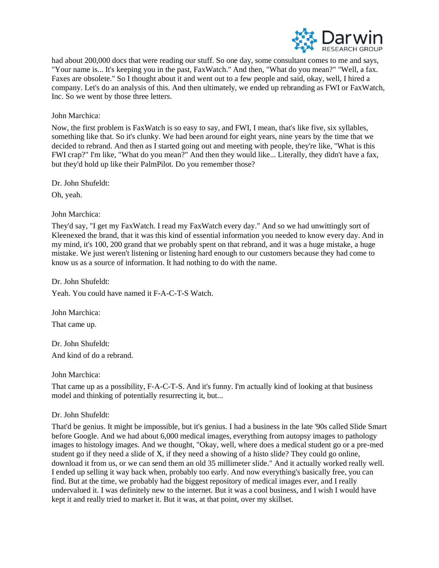

had about 200,000 docs that were reading our stuff. So one day, some consultant comes to me and says, "Your name is... It's keeping you in the past, FaxWatch." And then, "What do you mean?" "Well, a fax. Faxes are obsolete." So I thought about it and went out to a few people and said, okay, well, I hired a company. Let's do an analysis of this. And then ultimately, we ended up rebranding as FWI or FaxWatch, Inc. So we went by those three letters.

### John Marchica:

Now, the first problem is FaxWatch is so easy to say, and FWI, I mean, that's like five, six syllables, something like that. So it's clunky. We had been around for eight years, nine years by the time that we decided to rebrand. And then as I started going out and meeting with people, they're like, "What is this FWI crap?" I'm like, "What do you mean?" And then they would like... Literally, they didn't have a fax, but they'd hold up like their PalmPilot. Do you remember those?

Dr. John Shufeldt:

Oh, yeah.

### John Marchica:

They'd say, "I get my FaxWatch. I read my FaxWatch every day." And so we had unwittingly sort of Kleenexed the brand, that it was this kind of essential information you needed to know every day. And in my mind, it's 100, 200 grand that we probably spent on that rebrand, and it was a huge mistake, a huge mistake. We just weren't listening or listening hard enough to our customers because they had come to know us as a source of information. It had nothing to do with the name.

Dr. John Shufeldt:

Yeah. You could have named it F-A-C-T-S Watch.

John Marchica: That came up.

Dr. John Shufeldt: And kind of do a rebrand.

#### John Marchica:

That came up as a possibility, F-A-C-T-S. And it's funny. I'm actually kind of looking at that business model and thinking of potentially resurrecting it, but...

## Dr. John Shufeldt:

That'd be genius. It might be impossible, but it's genius. I had a business in the late '90s called Slide Smart before Google. And we had about 6,000 medical images, everything from autopsy images to pathology images to histology images. And we thought, "Okay, well, where does a medical student go or a pre-med student go if they need a slide of X, if they need a showing of a histo slide? They could go online, download it from us, or we can send them an old 35 millimeter slide." And it actually worked really well. I ended up selling it way back when, probably too early. And now everything's basically free, you can find. But at the time, we probably had the biggest repository of medical images ever, and I really undervalued it. I was definitely new to the internet. But it was a cool business, and I wish I would have kept it and really tried to market it. But it was, at that point, over my skillset.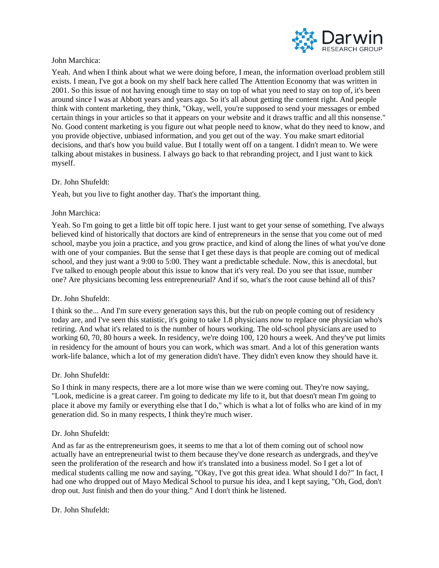

## John Marchica:

Yeah. And when I think about what we were doing before, I mean, the information overload problem still exists. I mean, I've got a book on my shelf back here called The Attention Economy that was written in 2001. So this issue of not having enough time to stay on top of what you need to stay on top of, it's been around since I was at Abbott years and years ago. So it's all about getting the content right. And people think with content marketing, they think, "Okay, well, you're supposed to send your messages or embed certain things in your articles so that it appears on your website and it draws traffic and all this nonsense." No. Good content marketing is you figure out what people need to know, what do they need to know, and you provide objective, unbiased information, and you get out of the way. You make smart editorial decisions, and that's how you build value. But I totally went off on a tangent. I didn't mean to. We were talking about mistakes in business. I always go back to that rebranding project, and I just want to kick myself.

### Dr. John Shufeldt:

Yeah, but you live to fight another day. That's the important thing.

### John Marchica:

Yeah. So I'm going to get a little bit off topic here. I just want to get your sense of something. I've always believed kind of historically that doctors are kind of entrepreneurs in the sense that you come out of med school, maybe you join a practice, and you grow practice, and kind of along the lines of what you've done with one of your companies. But the sense that I get these days is that people are coming out of medical school, and they just want a 9:00 to 5:00. They want a predictable schedule. Now, this is anecdotal, but I've talked to enough people about this issue to know that it's very real. Do you see that issue, number one? Are physicians becoming less entrepreneurial? And if so, what's the root cause behind all of this?

## Dr. John Shufeldt:

I think so the... And I'm sure every generation says this, but the rub on people coming out of residency today are, and I've seen this statistic, it's going to take 1.8 physicians now to replace one physician who's retiring. And what it's related to is the number of hours working. The old-school physicians are used to working 60, 70, 80 hours a week. In residency, we're doing 100, 120 hours a week. And they've put limits in residency for the amount of hours you can work, which was smart. And a lot of this generation wants work-life balance, which a lot of my generation didn't have. They didn't even know they should have it.

#### Dr. John Shufeldt:

So I think in many respects, there are a lot more wise than we were coming out. They're now saying, "Look, medicine is a great career. I'm going to dedicate my life to it, but that doesn't mean I'm going to place it above my family or everything else that I do," which is what a lot of folks who are kind of in my generation did. So in many respects, I think they're much wiser.

#### Dr. John Shufeldt:

And as far as the entrepreneurism goes, it seems to me that a lot of them coming out of school now actually have an entrepreneurial twist to them because they've done research as undergrads, and they've seen the proliferation of the research and how it's translated into a business model. So I get a lot of medical students calling me now and saying, "Okay, I've got this great idea. What should I do?" In fact, I had one who dropped out of Mayo Medical School to pursue his idea, and I kept saying, "Oh, God, don't drop out. Just finish and then do your thing." And I don't think he listened.

### Dr. John Shufeldt: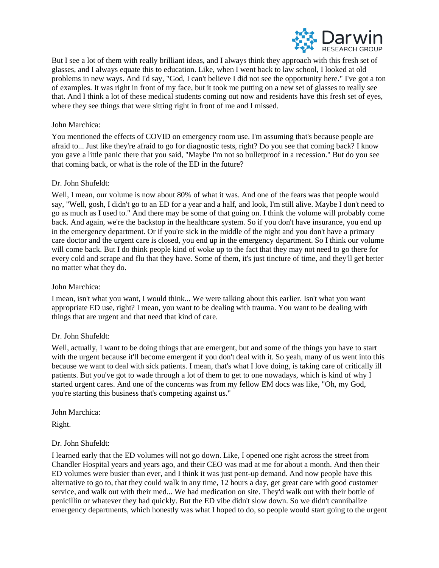

But I see a lot of them with really brilliant ideas, and I always think they approach with this fresh set of glasses, and I always equate this to education. Like, when I went back to law school, I looked at old problems in new ways. And I'd say, "God, I can't believe I did not see the opportunity here." I've got a ton of examples. It was right in front of my face, but it took me putting on a new set of glasses to really see that. And I think a lot of these medical students coming out now and residents have this fresh set of eyes, where they see things that were sitting right in front of me and I missed.

## John Marchica:

You mentioned the effects of COVID on emergency room use. I'm assuming that's because people are afraid to... Just like they're afraid to go for diagnostic tests, right? Do you see that coming back? I know you gave a little panic there that you said, "Maybe I'm not so bulletproof in a recession." But do you see that coming back, or what is the role of the ED in the future?

### Dr. John Shufeldt:

Well, I mean, our volume is now about 80% of what it was. And one of the fears was that people would say, "Well, gosh, I didn't go to an ED for a year and a half, and look, I'm still alive. Maybe I don't need to go as much as I used to." And there may be some of that going on. I think the volume will probably come back. And again, we're the backstop in the healthcare system. So if you don't have insurance, you end up in the emergency department. Or if you're sick in the middle of the night and you don't have a primary care doctor and the urgent care is closed, you end up in the emergency department. So I think our volume will come back. But I do think people kind of woke up to the fact that they may not need to go there for every cold and scrape and flu that they have. Some of them, it's just tincture of time, and they'll get better no matter what they do.

#### John Marchica:

I mean, isn't what you want, I would think... We were talking about this earlier. Isn't what you want appropriate ED use, right? I mean, you want to be dealing with trauma. You want to be dealing with things that are urgent and that need that kind of care.

#### Dr. John Shufeldt:

Well, actually, I want to be doing things that are emergent, but and some of the things you have to start with the urgent because it'll become emergent if you don't deal with it. So yeah, many of us went into this because we want to deal with sick patients. I mean, that's what I love doing, is taking care of critically ill patients. But you've got to wade through a lot of them to get to one nowadays, which is kind of why I started urgent cares. And one of the concerns was from my fellow EM docs was like, "Oh, my God, you're starting this business that's competing against us."

John Marchica:

Right.

#### Dr. John Shufeldt:

I learned early that the ED volumes will not go down. Like, I opened one right across the street from Chandler Hospital years and years ago, and their CEO was mad at me for about a month. And then their ED volumes were busier than ever, and I think it was just pent-up demand. And now people have this alternative to go to, that they could walk in any time, 12 hours a day, get great care with good customer service, and walk out with their med... We had medication on site. They'd walk out with their bottle of penicillin or whatever they had quickly. But the ED vibe didn't slow down. So we didn't cannibalize emergency departments, which honestly was what I hoped to do, so people would start going to the urgent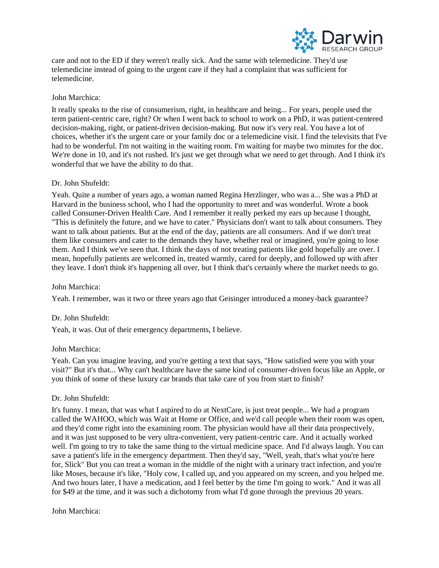

care and not to the ED if they weren't really sick. And the same with telemedicine. They'd use telemedicine instead of going to the urgent care if they had a complaint that was sufficient for telemedicine.

## John Marchica:

It really speaks to the rise of consumerism, right, in healthcare and being... For years, people used the term patient-centric care, right? Or when I went back to school to work on a PhD, it was patient-centered decision-making, right, or patient-driven decision-making. But now it's very real. You have a lot of choices, whether it's the urgent care or your family doc or a telemedicine visit. I find the televisits that I've had to be wonderful. I'm not waiting in the waiting room. I'm waiting for maybe two minutes for the doc. We're done in 10, and it's not rushed. It's just we get through what we need to get through. And I think it's wonderful that we have the ability to do that.

### Dr. John Shufeldt:

Yeah. Quite a number of years ago, a woman named Regina Herzlinger, who was a... She was a PhD at Harvard in the business school, who I had the opportunity to meet and was wonderful. Wrote a book called Consumer-Driven Health Care. And I remember it really perked my ears up because I thought, "This is definitely the future, and we have to cater." Physicians don't want to talk about consumers. They want to talk about patients. But at the end of the day, patients are all consumers. And if we don't treat them like consumers and cater to the demands they have, whether real or imagined, you're going to lose them. And I think we've seen that. I think the days of not treating patients like gold hopefully are over. I mean, hopefully patients are welcomed in, treated warmly, cared for deeply, and followed up with after they leave. I don't think it's happening all over, but I think that's certainly where the market needs to go.

#### John Marchica:

Yeah. I remember, was it two or three years ago that Geisinger introduced a money-back guarantee?

## Dr. John Shufeldt:

Yeah, it was. Out of their emergency departments, I believe.

#### John Marchica:

Yeah. Can you imagine leaving, and you're getting a text that says, "How satisfied were you with your visit?" But it's that... Why can't healthcare have the same kind of consumer-driven focus like an Apple, or you think of some of these luxury car brands that take care of you from start to finish?

## Dr. John Shufeldt:

It's funny. I mean, that was what I aspired to do at NextCare, is just treat people... We had a program called the WAHOO, which was Wait at Home or Office, and we'd call people when their room was open, and they'd come right into the examining room. The physician would have all their data prospectively, and it was just supposed to be very ultra-convenient, very patient-centric care. And it actually worked well. I'm going to try to take the same thing to the virtual medicine space. And I'd always laugh. You can save a patient's life in the emergency department. Then they'd say, "Well, yeah, that's what you're here for, Slick" But you can treat a woman in the middle of the night with a urinary tract infection, and you're like Moses, because it's like, "Holy cow, I called up, and you appeared on my screen, and you helped me. And two hours later, I have a medication, and I feel better by the time I'm going to work." And it was all for \$49 at the time, and it was such a dichotomy from what I'd gone through the previous 20 years.

#### John Marchica: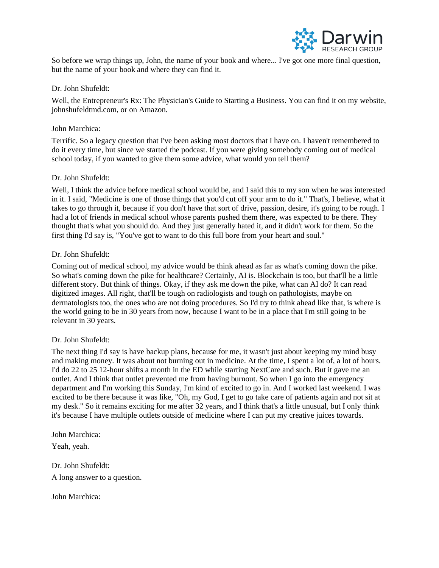

So before we wrap things up, John, the name of your book and where... I've got one more final question, but the name of your book and where they can find it.

### Dr. John Shufeldt:

Well, the Entrepreneur's Rx: The Physician's Guide to Starting a Business. You can find it on my website, johnshufeldtmd.com, or on Amazon.

### John Marchica:

Terrific. So a legacy question that I've been asking most doctors that I have on. I haven't remembered to do it every time, but since we started the podcast. If you were giving somebody coming out of medical school today, if you wanted to give them some advice, what would you tell them?

### Dr. John Shufeldt:

Well, I think the advice before medical school would be, and I said this to my son when he was interested in it. I said, "Medicine is one of those things that you'd cut off your arm to do it." That's, I believe, what it takes to go through it, because if you don't have that sort of drive, passion, desire, it's going to be rough. I had a lot of friends in medical school whose parents pushed them there, was expected to be there. They thought that's what you should do. And they just generally hated it, and it didn't work for them. So the first thing I'd say is, "You've got to want to do this full bore from your heart and soul."

### Dr. John Shufeldt:

Coming out of medical school, my advice would be think ahead as far as what's coming down the pike. So what's coming down the pike for healthcare? Certainly, AI is. Blockchain is too, but that'll be a little different story. But think of things. Okay, if they ask me down the pike, what can AI do? It can read digitized images. All right, that'll be tough on radiologists and tough on pathologists, maybe on dermatologists too, the ones who are not doing procedures. So I'd try to think ahead like that, is where is the world going to be in 30 years from now, because I want to be in a place that I'm still going to be relevant in 30 years.

#### Dr. John Shufeldt:

The next thing I'd say is have backup plans, because for me, it wasn't just about keeping my mind busy and making money. It was about not burning out in medicine. At the time, I spent a lot of, a lot of hours. I'd do 22 to 25 12-hour shifts a month in the ED while starting NextCare and such. But it gave me an outlet. And I think that outlet prevented me from having burnout. So when I go into the emergency department and I'm working this Sunday, I'm kind of excited to go in. And I worked last weekend. I was excited to be there because it was like, "Oh, my God, I get to go take care of patients again and not sit at my desk." So it remains exciting for me after 32 years, and I think that's a little unusual, but I only think it's because I have multiple outlets outside of medicine where I can put my creative juices towards.

John Marchica:

Yeah, yeah.

Dr. John Shufeldt:

A long answer to a question.

John Marchica: